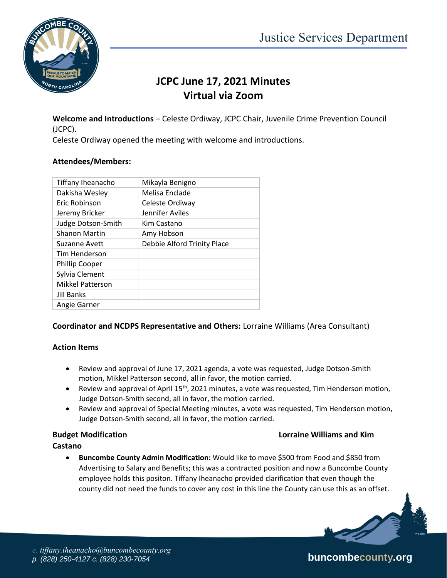

# **JCPC June 17, 2021 Minutes Virtual via Zoom**

**Welcome and Introductions** – Celeste Ordiway, JCPC Chair, Juvenile Crime Prevention Council (JCPC).

Celeste Ordiway opened the meeting with welcome and introductions.

# **Attendees/Members:**

| Tiffany Iheanacho       | Mikayla Benigno             |
|-------------------------|-----------------------------|
| Dakisha Wesley          | Melisa Enclade              |
| Eric Robinson           | Celeste Ordiway             |
| Jeremy Bricker          | Jennifer Aviles             |
| Judge Dotson-Smith      | Kim Castano                 |
| <b>Shanon Martin</b>    | Amy Hobson                  |
| Suzanne Avett           | Debbie Alford Trinity Place |
| Tim Henderson           |                             |
| <b>Phillip Cooper</b>   |                             |
| Sylvia Clement          |                             |
| <b>Mikkel Patterson</b> |                             |
| Jill Banks              |                             |
| Angie Garner            |                             |

# **Coordinator and NCDPS Representative and Others:** Lorraine Williams (Area Consultant)

# **Action Items**

- Review and approval of June 17, 2021 agenda, a vote was requested, Judge Dotson-Smith motion, Mikkel Patterson second, all in favor, the motion carried.
- **•** Review and approval of April 15<sup>th</sup>, 2021 minutes, a vote was requested, Tim Henderson motion, Judge Dotson-Smith second, all in favor, the motion carried.
- Review and approval of Special Meeting minutes, a vote was requested, Tim Henderson motion, Judge Dotson-Smith second, all in favor, the motion carried.

## **Budget Modification Lorraine Williams and Kim**

## **Castano**

 **Buncombe County Admin Modification:** Would like to move \$500 from Food and \$850 from Advertising to Salary and Benefits; this was a contracted position and now a Buncombe County employee holds this positon. Tiffany Iheanacho provided clarification that even though the county did not need the funds to cover any cost in this line the County can use this as an offset.

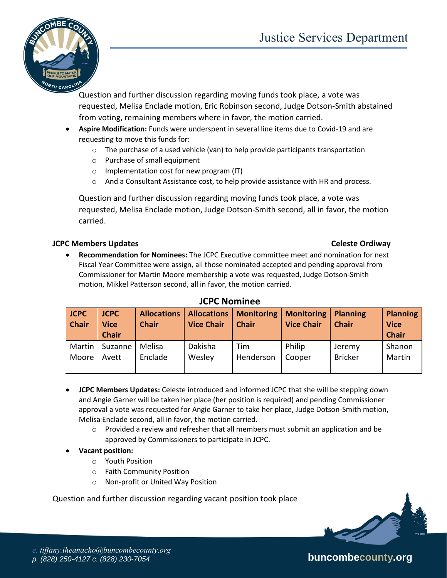

Question and further discussion regarding moving funds took place, a vote was requested, Melisa Enclade motion, Eric Robinson second, Judge Dotson-Smith abstained from voting, remaining members where in favor, the motion carried.

- **Aspire Modification:** Funds were underspent in several line items due to Covid-19 and are requesting to move this funds for:
	- $\circ$  The purchase of a used vehicle (van) to help provide participants transportation
	- o Purchase of small equipment
	- o Implementation cost for new program (IT)
	- $\circ$  And a Consultant Assistance cost, to help provide assistance with HR and process.

Question and further discussion regarding moving funds took place, a vote was requested, Melisa Enclade motion, Judge Dotson-Smith second, all in favor, the motion carried.

## **JCPC Members Updates Celestial Celestial Celeste Ordiway**

### **Recommendation for Nominees:** The JCPC Executive committee meet and nomination for next Fiscal Year Committee were assign, all those nominated accepted and pending approval from Commissioner for Martin Moore membership a vote was requested, Judge Dotson-Smith motion, Mikkel Patterson second, all in favor, the motion carried.

| <b>JCPC</b><br><b>Chair</b> | <b>JCPC</b><br><b>Vice</b><br><b>Chair</b> | <b>Chair</b> | <b>Vice Chair</b> | Allocations   Allocations   Monitoring   Monitoring  <br><b>Chair</b> | <b>Vice Chair</b> | <b>Planning</b><br><b>Chair</b> | <b>Planning</b><br><b>Vice</b><br><b>Chair</b> |
|-----------------------------|--------------------------------------------|--------------|-------------------|-----------------------------------------------------------------------|-------------------|---------------------------------|------------------------------------------------|
| Martin                      | Suzanne                                    | Melisa       | Dakisha           | Tim                                                                   | Philip            | Jeremy                          | Shanon                                         |
| Moore                       | Avett                                      | Enclade      | Wesley            | Henderson                                                             | Cooper            | <b>Bricker</b>                  | Martin                                         |

# **JCPC Nominee**

- **JCPC Members Updates:** Celeste introduced and informed JCPC that she will be stepping down and Angie Garner will be taken her place (her position is required) and pending Commissioner approval a vote was requested for Angie Garner to take her place, Judge Dotson-Smith motion, Melisa Enclade second, all in favor, the motion carried.
	- $\circ$  Provided a review and refresher that all members must submit an application and be approved by Commissioners to participate in JCPC.
- **Vacant position:**
	- o Youth Position
	- o Faith Community Position
	- o Non-profit or United Way Position

Question and further discussion regarding vacant position took place